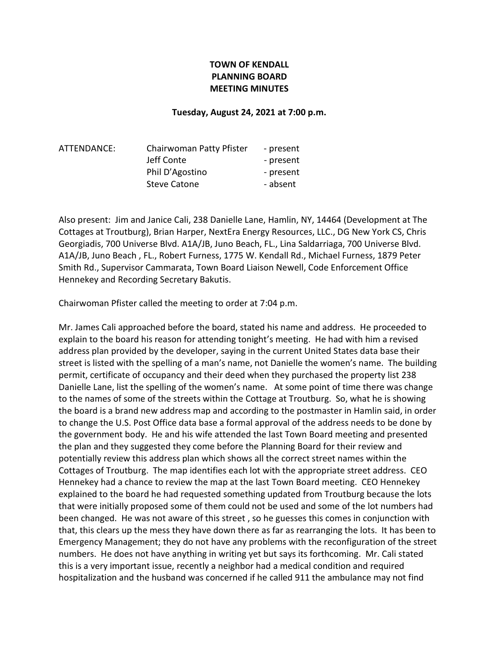# TOWN OF KENDALL PLANNING BOARD MEETING MINUTES

#### Tuesday, August 24, 2021 at 7:00 p.m.

| ATTENDANCE: | Chairwoman Patty Pfister | - present |
|-------------|--------------------------|-----------|
|             | Jeff Conte               | - present |
|             | Phil D'Agostino          | - present |
|             | <b>Steve Catone</b>      | - absent  |
|             |                          |           |

Also present: Jim and Janice Cali, 238 Danielle Lane, Hamlin, NY, 14464 (Development at The Cottages at Troutburg), Brian Harper, NextEra Energy Resources, LLC., DG New York CS, Chris Georgiadis, 700 Universe Blvd. A1A/JB, Juno Beach, FL., Lina Saldarriaga, 700 Universe Blvd. A1A/JB, Juno Beach , FL., Robert Furness, 1775 W. Kendall Rd., Michael Furness, 1879 Peter Smith Rd., Supervisor Cammarata, Town Board Liaison Newell, Code Enforcement Office Hennekey and Recording Secretary Bakutis.

Chairwoman Pfister called the meeting to order at 7:04 p.m.

Mr. James Cali approached before the board, stated his name and address. He proceeded to explain to the board his reason for attending tonight's meeting. He had with him a revised address plan provided by the developer, saying in the current United States data base their street is listed with the spelling of a man's name, not Danielle the women's name. The building permit, certificate of occupancy and their deed when they purchased the property list 238 Danielle Lane, list the spelling of the women's name. At some point of time there was change to the names of some of the streets within the Cottage at Troutburg. So, what he is showing the board is a brand new address map and according to the postmaster in Hamlin said, in order to change the U.S. Post Office data base a formal approval of the address needs to be done by the government body. He and his wife attended the last Town Board meeting and presented the plan and they suggested they come before the Planning Board for their review and potentially review this address plan which shows all the correct street names within the Cottages of Troutburg. The map identifies each lot with the appropriate street address. CEO Hennekey had a chance to review the map at the last Town Board meeting. CEO Hennekey explained to the board he had requested something updated from Troutburg because the lots that were initially proposed some of them could not be used and some of the lot numbers had been changed. He was not aware of this street , so he guesses this comes in conjunction with that, this clears up the mess they have down there as far as rearranging the lots. It has been to Emergency Management; they do not have any problems with the reconfiguration of the street numbers. He does not have anything in writing yet but says its forthcoming. Mr. Cali stated this is a very important issue, recently a neighbor had a medical condition and required hospitalization and the husband was concerned if he called 911 the ambulance may not find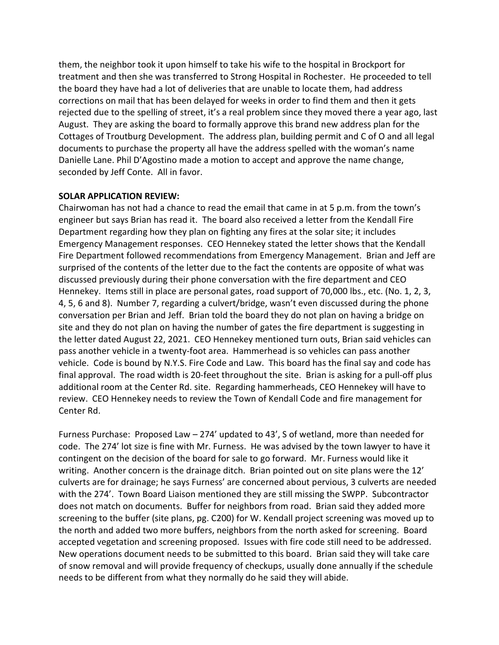them, the neighbor took it upon himself to take his wife to the hospital in Brockport for treatment and then she was transferred to Strong Hospital in Rochester. He proceeded to tell the board they have had a lot of deliveries that are unable to locate them, had address corrections on mail that has been delayed for weeks in order to find them and then it gets rejected due to the spelling of street, it's a real problem since they moved there a year ago, last August. They are asking the board to formally approve this brand new address plan for the Cottages of Troutburg Development. The address plan, building permit and C of O and all legal documents to purchase the property all have the address spelled with the woman's name Danielle Lane. Phil D'Agostino made a motion to accept and approve the name change, seconded by Jeff Conte. All in favor.

### SOLAR APPLICATION REVIEW:

Chairwoman has not had a chance to read the email that came in at 5 p.m. from the town's engineer but says Brian has read it. The board also received a letter from the Kendall Fire Department regarding how they plan on fighting any fires at the solar site; it includes Emergency Management responses. CEO Hennekey stated the letter shows that the Kendall Fire Department followed recommendations from Emergency Management. Brian and Jeff are surprised of the contents of the letter due to the fact the contents are opposite of what was discussed previously during their phone conversation with the fire department and CEO Hennekey. Items still in place are personal gates, road support of 70,000 lbs., etc. (No. 1, 2, 3, 4, 5, 6 and 8). Number 7, regarding a culvert/bridge, wasn't even discussed during the phone conversation per Brian and Jeff. Brian told the board they do not plan on having a bridge on site and they do not plan on having the number of gates the fire department is suggesting in the letter dated August 22, 2021. CEO Hennekey mentioned turn outs, Brian said vehicles can pass another vehicle in a twenty-foot area. Hammerhead is so vehicles can pass another vehicle. Code is bound by N.Y.S. Fire Code and Law. This board has the final say and code has final approval. The road width is 20-feet throughout the site. Brian is asking for a pull-off plus additional room at the Center Rd. site. Regarding hammerheads, CEO Hennekey will have to review. CEO Hennekey needs to review the Town of Kendall Code and fire management for Center Rd.

Furness Purchase: Proposed Law – 274' updated to 43', S of wetland, more than needed for code. The 274' lot size is fine with Mr. Furness. He was advised by the town lawyer to have it contingent on the decision of the board for sale to go forward. Mr. Furness would like it writing. Another concern is the drainage ditch. Brian pointed out on site plans were the 12' culverts are for drainage; he says Furness' are concerned about pervious, 3 culverts are needed with the 274'. Town Board Liaison mentioned they are still missing the SWPP. Subcontractor does not match on documents. Buffer for neighbors from road. Brian said they added more screening to the buffer (site plans, pg. C200) for W. Kendall project screening was moved up to the north and added two more buffers, neighbors from the north asked for screening. Board accepted vegetation and screening proposed. Issues with fire code still need to be addressed. New operations document needs to be submitted to this board. Brian said they will take care of snow removal and will provide frequency of checkups, usually done annually if the schedule needs to be different from what they normally do he said they will abide.